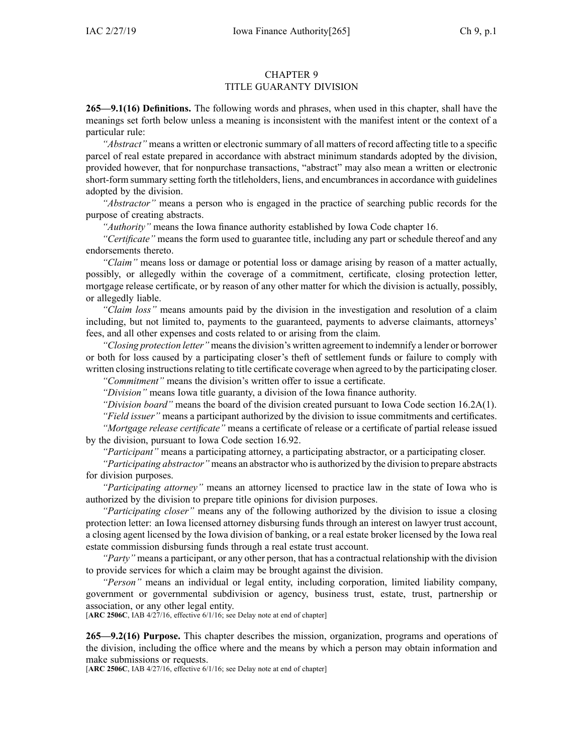### CHAPTER 9 TITLE GUARANTY DIVISION

**265—9.1(16) Definitions.** The following words and phrases, when used in this chapter, shall have the meanings set forth below unless <sup>a</sup> meaning is inconsistent with the manifest intent or the context of <sup>a</sup> particular rule:

*"Abstract"* means <sup>a</sup> written or electronic summary of all matters of record affecting title to <sup>a</sup> specific parcel of real estate prepared in accordance with abstract minimum standards adopted by the division, provided however, that for nonpurchase transactions, "abstract" may also mean <sup>a</sup> written or electronic short-form summary setting forth the titleholders, liens, and encumbrancesin accordance with guidelines adopted by the division.

*"Abstractor"* means <sup>a</sup> person who is engaged in the practice of searching public records for the purpose of creating abstracts.

*"Authority"* means the Iowa finance authority established by Iowa Code chapter [16](https://www.legis.iowa.gov/docs/ico/chapter/16.pdf).

*"Certificate"* means the form used to guarantee title, including any par<sup>t</sup> or schedule thereof and any endorsements thereto.

*"Claim"* means loss or damage or potential loss or damage arising by reason of <sup>a</sup> matter actually, possibly, or allegedly within the coverage of <sup>a</sup> commitment, certificate, closing protection letter, mortgage release certificate, or by reason of any other matter for which the division is actually, possibly, or allegedly liable.

*"Claim loss"* means amounts paid by the division in the investigation and resolution of <sup>a</sup> claim including, but not limited to, payments to the guaranteed, payments to adverse claimants, attorneys' fees, and all other expenses and costs related to or arising from the claim.

*"Closing protection letter"* meansthe division's written agreemen<sup>t</sup> to indemnify <sup>a</sup> lender or borrower or both for loss caused by <sup>a</sup> participating closer's theft of settlement funds or failure to comply with written closing instructions relating to title certificate coverage when agreed to by the participating closer.

*"Commitment"* means the division's written offer to issue <sup>a</sup> certificate.

*"Division"* means Iowa title guaranty, <sup>a</sup> division of the Iowa finance authority.

*"Division board"* means the board of the division created pursuan<sup>t</sup> to Iowa Code section [16.2A\(1\)](https://www.legis.iowa.gov/docs/ico/section/16.2A.pdf).

*"Field issuer"* means <sup>a</sup> participant authorized by the division to issue commitments and certificates. *"Mortgage release certificate"* means <sup>a</sup> certificate of release or <sup>a</sup> certificate of partial release issued by the division, pursuan<sup>t</sup> to Iowa Code section [16.92](https://www.legis.iowa.gov/docs/ico/section/16.92.pdf).

*"Participant"* means <sup>a</sup> participating attorney, <sup>a</sup> participating abstractor, or <sup>a</sup> participating closer.

*"Participating abstractor"* means an abstractor who is authorized by the division to prepare abstracts for division purposes.

*"Participating attorney"* means an attorney licensed to practice law in the state of Iowa who is authorized by the division to prepare title opinions for division purposes.

*"Participating closer"* means any of the following authorized by the division to issue <sup>a</sup> closing protection letter: an Iowa licensed attorney disbursing funds through an interest on lawyer trust account, <sup>a</sup> closing agen<sup>t</sup> licensed by the Iowa division of banking, or <sup>a</sup> real estate broker licensed by the Iowa real estate commission disbursing funds through <sup>a</sup> real estate trust account.

*"Party"* means <sup>a</sup> participant, or any other person, that has <sup>a</sup> contractual relationship with the division to provide services for which <sup>a</sup> claim may be brought against the division.

*"Person"* means an individual or legal entity, including corporation, limited liability company, governmen<sup>t</sup> or governmental subdivision or agency, business trust, estate, trust, partnership or association, or any other legal entity.

[**ARC [2506C](https://www.legis.iowa.gov/docs/aco/arc/2506C.pdf)**, IAB 4/27/16, effective 6/1/16; see Delay note at end of chapter]

**265—9.2(16) Purpose.** This chapter describes the mission, organization, programs and operations of the division, including the office where and the means by which <sup>a</sup> person may obtain information and make submissions or requests.

[**ARC [2506C](https://www.legis.iowa.gov/docs/aco/arc/2506C.pdf)**, IAB 4/27/16, effective 6/1/16; see Delay note at end of chapter]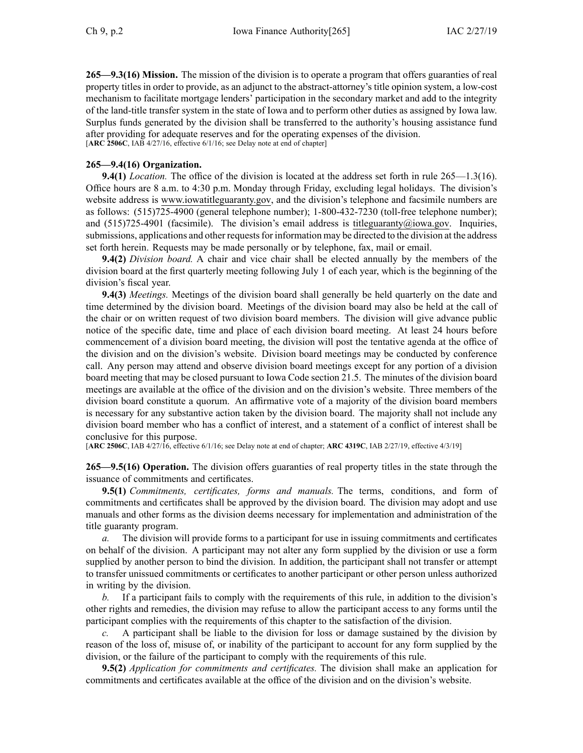**265—9.3(16) Mission.** The mission of the division is to operate <sup>a</sup> program that offers guaranties of real property titles in order to provide, as an adjunct to the abstract-attorney's title opinion system, <sup>a</sup> low-cost mechanism to facilitate mortgage lenders' participation in the secondary market and add to the integrity of the land-title transfer system in the state of Iowa and to perform other duties as assigned by Iowa law. Surplus funds generated by the division shall be transferred to the authority's housing assistance fund after providing for adequate reserves and for the operating expenses of the division. [**ARC [2506C](https://www.legis.iowa.gov/docs/aco/arc/2506C.pdf)**, IAB 4/27/16, effective 6/1/16; see Delay note at end of chapter]

## **265—9.4(16) Organization.**

**9.4(1)** *Location.* The office of the division is located at the address set forth in rule 265—1.3(16). Office hours are 8 a.m. to 4:30 p.m. Monday through Friday, excluding legal holidays. The division's website address is [www.iowatitleguaranty.gov](http://www.iowatitleguaranty.gov), and the division's telephone and facsimile numbers are as follows: (515)725-4900 (general telephone number); 1-800-432-7230 (toll-free telephone number); and  $(515)725-4901$  (facsimile). The division's email address is [titleguaranty@iowa.gov](mailto:titleguaranty@iowa.gov). Inquiries, submissions, applications and other requests for information may be directed to the division at the address set forth herein. Requests may be made personally or by telephone, fax, mail or email.

**9.4(2)** *Division board.* A chair and vice chair shall be elected annually by the members of the division board at the first quarterly meeting following July 1 of each year, which is the beginning of the division's fiscal year.

**9.4(3)** *Meetings.* Meetings of the division board shall generally be held quarterly on the date and time determined by the division board. Meetings of the division board may also be held at the call of the chair or on written reques<sup>t</sup> of two division board members. The division will give advance public notice of the specific date, time and place of each division board meeting. At least 24 hours before commencement of <sup>a</sup> division board meeting, the division will pos<sup>t</sup> the tentative agenda at the office of the division and on the division's website. Division board meetings may be conducted by conference call. Any person may attend and observe division board meetings excep<sup>t</sup> for any portion of <sup>a</sup> division board meeting that may be closed pursuan<sup>t</sup> to Iowa Code section [21.5](https://www.legis.iowa.gov/docs/ico/section/21.5.pdf). The minutes of the division board meetings are available at the office of the division and on the division's website. Three members of the division board constitute <sup>a</sup> quorum. An affirmative vote of <sup>a</sup> majority of the division board members is necessary for any substantive action taken by the division board. The majority shall not include any division board member who has <sup>a</sup> conflict of interest, and <sup>a</sup> statement of <sup>a</sup> conflict of interest shall be conclusive for this purpose.

[**ARC [2506C](https://www.legis.iowa.gov/docs/aco/arc/2506C.pdf)**, IAB 4/27/16, effective 6/1/16; see Delay note at end of chapter; **ARC [4319C](https://www.legis.iowa.gov/docs/aco/arc/4319C.pdf)**, IAB 2/27/19, effective 4/3/19]

**265—9.5(16) Operation.** The division offers guaranties of real property titles in the state through the issuance of commitments and certificates.

**9.5(1)** *Commitments, certificates, forms and manuals.* The terms, conditions, and form of commitments and certificates shall be approved by the division board. The division may adopt and use manuals and other forms as the division deems necessary for implementation and administration of the title guaranty program.

*a.* The division will provide forms to <sup>a</sup> participant for use in issuing commitments and certificates on behalf of the division. A participant may not alter any form supplied by the division or use <sup>a</sup> form supplied by another person to bind the division. In addition, the participant shall not transfer or attempt to transfer unissued commitments or certificates to another participant or other person unless authorized in writing by the division.

*b.* If <sup>a</sup> participant fails to comply with the requirements of this rule, in addition to the division's other rights and remedies, the division may refuse to allow the participant access to any forms until the participant complies with the requirements of this chapter to the satisfaction of the division.

*c.* A participant shall be liable to the division for loss or damage sustained by the division by reason of the loss of, misuse of, or inability of the participant to account for any form supplied by the division, or the failure of the participant to comply with the requirements of this rule.

**9.5(2)** *Application for commitments and certificates.* The division shall make an application for commitments and certificates available at the office of the division and on the division's website.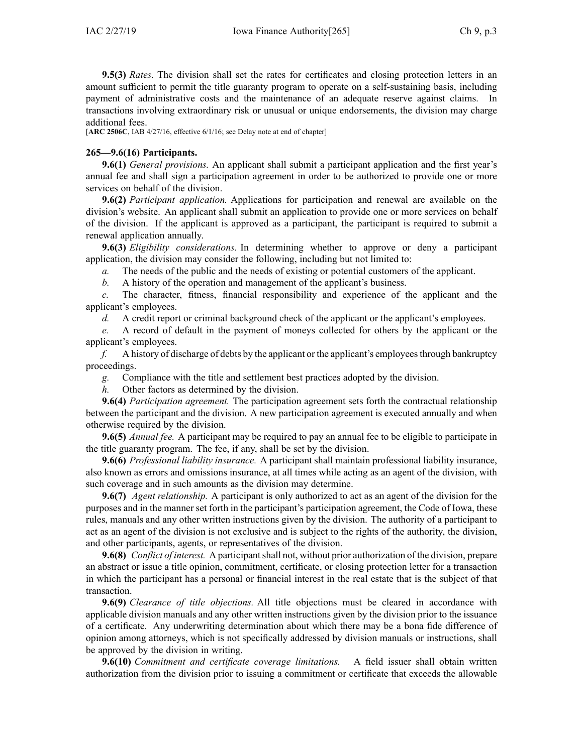**9.5(3)** *Rates.* The division shall set the rates for certificates and closing protection letters in an amount sufficient to permit the title guaranty program to operate on <sup>a</sup> self-sustaining basis, including paymen<sup>t</sup> of administrative costs and the maintenance of an adequate reserve against claims. In transactions involving extraordinary risk or unusual or unique endorsements, the division may charge additional fees.

[**ARC [2506C](https://www.legis.iowa.gov/docs/aco/arc/2506C.pdf)**, IAB 4/27/16, effective 6/1/16; see Delay note at end of chapter]

# **265—9.6(16) Participants.**

**9.6(1)** *General provisions.* An applicant shall submit <sup>a</sup> participant application and the first year's annual fee and shall sign <sup>a</sup> participation agreemen<sup>t</sup> in order to be authorized to provide one or more services on behalf of the division.

**9.6(2)** *Participant application.* Applications for participation and renewal are available on the division's website. An applicant shall submit an application to provide one or more services on behalf of the division. If the applicant is approved as <sup>a</sup> participant, the participant is required to submit <sup>a</sup> renewal application annually.

**9.6(3)** *Eligibility considerations.* In determining whether to approve or deny <sup>a</sup> participant application, the division may consider the following, including but not limited to:

*a.* The needs of the public and the needs of existing or potential customers of the applicant.

*b.* A history of the operation and managemen<sup>t</sup> of the applicant's business.

*c.* The character, fitness, financial responsibility and experience of the applicant and the applicant's employees.

*d.* A credit report or criminal background check of the applicant or the applicant's employees.

*e.* A record of default in the paymen<sup>t</sup> of moneys collected for others by the applicant or the applicant's employees.

*f.* A history of discharge of debts by the applicant or the applicant's employees through bankruptcy proceedings.

*g.* Compliance with the title and settlement best practices adopted by the division.

*h.* Other factors as determined by the division.

**9.6(4)** *Participation agreement.* The participation agreemen<sup>t</sup> sets forth the contractual relationship between the participant and the division. A new participation agreemen<sup>t</sup> is executed annually and when otherwise required by the division.

**9.6(5)** *Annual fee.* A participant may be required to pay an annual fee to be eligible to participate in the title guaranty program. The fee, if any, shall be set by the division.

**9.6(6)** *Professional liability insurance.* A participant shall maintain professional liability insurance, also known as errors and omissions insurance, at all times while acting as an agen<sup>t</sup> of the division, with such coverage and in such amounts as the division may determine.

**9.6(7)** *Agent relationship.* A participant is only authorized to act as an agen<sup>t</sup> of the division for the purposes and in the manner set forth in the participant's participation agreement, the Code of Iowa, these rules, manuals and any other written instructions given by the division. The authority of <sup>a</sup> participant to act as an agen<sup>t</sup> of the division is not exclusive and is subject to the rights of the authority, the division, and other participants, agents, or representatives of the division.

**9.6(8)** *Conflict of interest.* A participantshall not, without prior authorization of the division, prepare an abstract or issue <sup>a</sup> title opinion, commitment, certificate, or closing protection letter for <sup>a</sup> transaction in which the participant has <sup>a</sup> personal or financial interest in the real estate that is the subject of that transaction.

**9.6(9)** *Clearance of title objections.* All title objections must be cleared in accordance with applicable division manuals and any other written instructions given by the division prior to the issuance of <sup>a</sup> certificate. Any underwriting determination about which there may be <sup>a</sup> bona fide difference of opinion among attorneys, which is not specifically addressed by division manuals or instructions, shall be approved by the division in writing.

**9.6(10)** *Commitment and certificate coverage limitations.* A field issuer shall obtain written authorization from the division prior to issuing <sup>a</sup> commitment or certificate that exceeds the allowable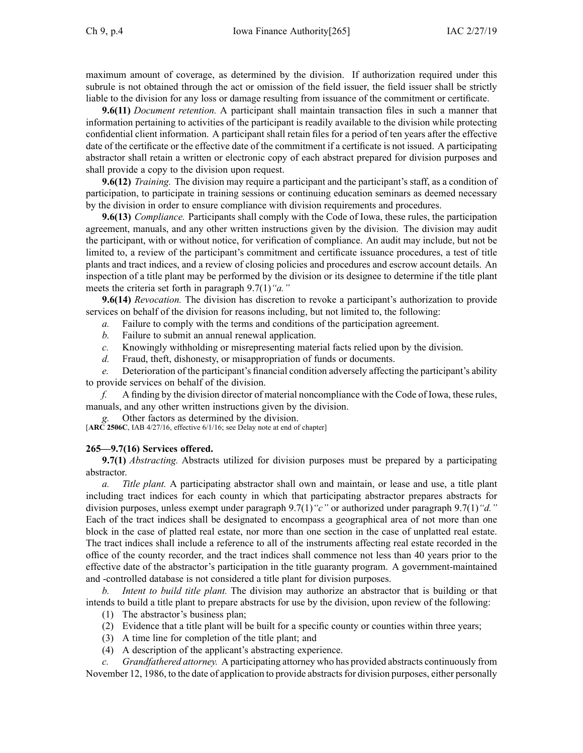maximum amount of coverage, as determined by the division. If authorization required under this subrule is not obtained through the act or omission of the field issuer, the field issuer shall be strictly liable to the division for any loss or damage resulting from issuance of the commitment or certificate.

**9.6(11)** *Document retention.* A participant shall maintain transaction files in such <sup>a</sup> manner that information pertaining to activities of the participant is readily available to the division while protecting confidential client information. A participant shall retain files for <sup>a</sup> period of ten years after the effective date of the certificate or the effective date of the commitment if <sup>a</sup> certificate is not issued. A participating abstractor shall retain <sup>a</sup> written or electronic copy of each abstract prepared for division purposes and shall provide <sup>a</sup> copy to the division upon request.

**9.6(12)** *Training.* The division may require <sup>a</sup> participant and the participant's staff, as <sup>a</sup> condition of participation, to participate in training sessions or continuing education seminars as deemed necessary by the division in order to ensure compliance with division requirements and procedures.

**9.6(13)** *Compliance.* Participants shall comply with the Code of Iowa, these rules, the participation agreement, manuals, and any other written instructions given by the division. The division may audit the participant, with or without notice, for verification of compliance. An audit may include, but not be limited to, <sup>a</sup> review of the participant's commitment and certificate issuance procedures, <sup>a</sup> test of title plants and tract indices, and <sup>a</sup> review of closing policies and procedures and escrow account details. An inspection of <sup>a</sup> title plant may be performed by the division or its designee to determine if the title plant meets the criteria set forth in paragraph [9.7\(1\)](https://www.legis.iowa.gov/docs/iac/rule/265.9.7.pdf)*"a."*

**9.6(14)** *Revocation.* The division has discretion to revoke <sup>a</sup> participant's authorization to provide services on behalf of the division for reasons including, but not limited to, the following:

*a.* Failure to comply with the terms and conditions of the participation agreement.

- *b.* Failure to submit an annual renewal application.
- *c.* Knowingly withholding or misrepresenting material facts relied upon by the division.
- *d.* Fraud, theft, dishonesty, or misappropriation of funds or documents.

*e.* Deterioration of the participant's financial condition adversely affecting the participant's ability to provide services on behalf of the division.

*f.* A finding by the division director of material noncompliance with the Code of Iowa, these rules, manuals, and any other written instructions given by the division.

Other factors as determined by the division.

[**ARC [2506C](https://www.legis.iowa.gov/docs/aco/arc/2506C.pdf)**, IAB 4/27/16, effective 6/1/16; see Delay note at end of chapter]

### **265—9.7(16) Services offered.**

**9.7(1)** *Abstracting.* Abstracts utilized for division purposes must be prepared by <sup>a</sup> participating abstractor.

*a. Title plant.* A participating abstractor shall own and maintain, or lease and use, <sup>a</sup> title plant including tract indices for each county in which that participating abstractor prepares abstracts for division purposes, unless exemp<sup>t</sup> under paragraph [9.7\(1\)](https://www.legis.iowa.gov/docs/iac/rule/265.9.7.pdf)*"c"* or authorized under paragraph [9.7\(1\)](https://www.legis.iowa.gov/docs/iac/rule/265.9.7.pdf)*"d."* Each of the tract indices shall be designated to encompass <sup>a</sup> geographical area of not more than one block in the case of platted real estate, nor more than one section in the case of unplatted real estate. The tract indices shall include <sup>a</sup> reference to all of the instruments affecting real estate recorded in the office of the county recorder, and the tract indices shall commence not less than 40 years prior to the effective date of the abstractor's participation in the title guaranty program. A government-maintained and -controlled database is not considered <sup>a</sup> title plant for division purposes.

*b. Intent to build title plant.* The division may authorize an abstractor that is building or that intends to build <sup>a</sup> title plant to prepare abstracts for use by the division, upon review of the following:

- (1) The abstractor's business plan;
- (2) Evidence that <sup>a</sup> title plant will be built for <sup>a</sup> specific county or counties within three years;
- (3) A time line for completion of the title plant; and
- (4) A description of the applicant's abstracting experience.

*c. Grandfathered attorney.* A participating attorney who has provided abstracts continuously from November 12, 1986, to the date of application to provide abstracts for division purposes, either personally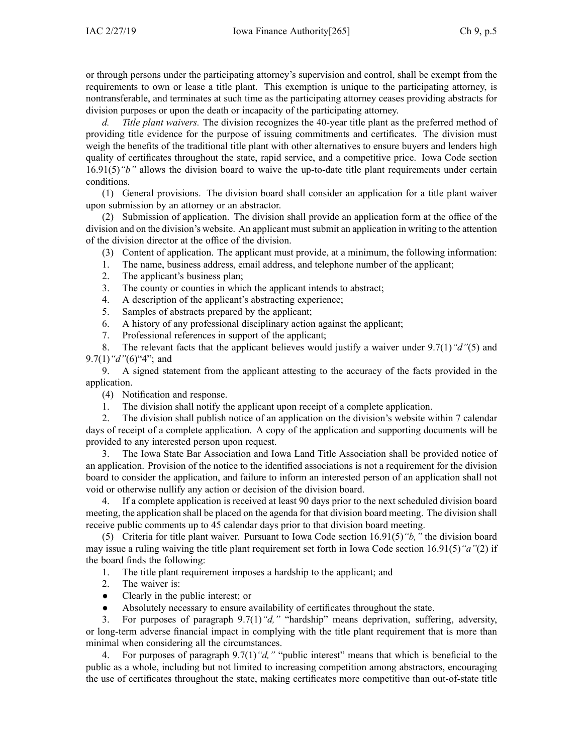or through persons under the participating attorney's supervision and control, shall be exemp<sup>t</sup> from the requirements to own or lease <sup>a</sup> title plant. This exemption is unique to the participating attorney, is nontransferable, and terminates at such time as the participating attorney ceases providing abstracts for division purposes or upon the death or incapacity of the participating attorney.

*d. Title plant waivers.* The division recognizes the 40-year title plant as the preferred method of providing title evidence for the purpose of issuing commitments and certificates. The division must weigh the benefits of the traditional title plant with other alternatives to ensure buyers and lenders high quality of certificates throughout the state, rapid service, and <sup>a</sup> competitive price. Iowa Code section [16.91\(5\)](https://www.legis.iowa.gov/docs/ico/section/16.91.pdf)*"b"* allows the division board to waive the up-to-date title plant requirements under certain conditions.

(1) General provisions. The division board shall consider an application for <sup>a</sup> title plant waiver upon submission by an attorney or an abstractor.

(2) Submission of application. The division shall provide an application form at the office of the division and on the division's website. An applicant mustsubmit an application in writing to the attention of the division director at the office of the division.

- (3) Content of application. The applicant must provide, at <sup>a</sup> minimum, the following information:
- 1. The name, business address, email address, and telephone number of the applicant;
- 2. The applicant's business plan;
- 3. The county or counties in which the applicant intends to abstract;
- 4. A description of the applicant's abstracting experience;
- 5. Samples of abstracts prepared by the applicant;
- 6. A history of any professional disciplinary action against the applicant;
- 7. Professional references in suppor<sup>t</sup> of the applicant;

8. The relevant facts that the applicant believes would justify <sup>a</sup> waiver under 9.7(1)*"d"*(5) and 9.7(1)*"d"*(6)"4"; and

9. A signed statement from the applicant attesting to the accuracy of the facts provided in the application.

(4) Notification and response.

1. The division shall notify the applicant upon receipt of <sup>a</sup> complete application.

2. The division shall publish notice of an application on the division's website within 7 calendar days of receipt of <sup>a</sup> complete application. A copy of the application and supporting documents will be provided to any interested person upon request.

3. The Iowa State Bar Association and Iowa Land Title Association shall be provided notice of an application. Provision of the notice to the identified associations is not <sup>a</sup> requirement for the division board to consider the application, and failure to inform an interested person of an application shall not void or otherwise nullify any action or decision of the division board.

4. If <sup>a</sup> complete application is received at least 90 days prior to the next scheduled division board meeting, the application shall be placed on the agenda for that division board meeting. The division shall receive public comments up to 45 calendar days prior to that division board meeting.

(5) Criteria for title plant waiver. Pursuant to Iowa Code section [16.91\(5\)](https://www.legis.iowa.gov/docs/ico/section/16.91.pdf)*"b,"* the division board may issue <sup>a</sup> ruling waiving the title plant requirement set forth in Iowa Code section [16.91\(5\)](https://www.legis.iowa.gov/docs/ico/section/16.91.pdf)*"a"*(2) if the board finds the following:

1. The title plant requirement imposes <sup>a</sup> hardship to the applicant; and

- 2. The waiver is:
- $\bullet$ Clearly in the public interest; or
- $\bullet$ Absolutely necessary to ensure availability of certificates throughout the state.

3. For purposes of paragraph 9.7(1)*"d,"* "hardship" means deprivation, suffering, adversity, or long-term adverse financial impact in complying with the title plant requirement that is more than minimal when considering all the circumstances.

4. For purposes of paragraph 9.7(1)*"d,"* "public interest" means that which is beneficial to the public as <sup>a</sup> whole, including but not limited to increasing competition among abstractors, encouraging the use of certificates throughout the state, making certificates more competitive than out-of-state title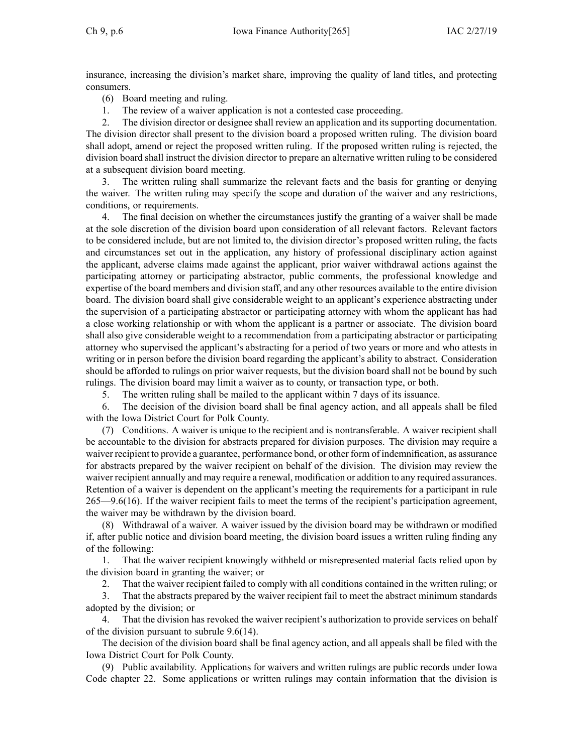insurance, increasing the division's market share, improving the quality of land titles, and protecting consumers.

- (6) Board meeting and ruling.
- 1. The review of <sup>a</sup> waiver application is not <sup>a</sup> contested case proceeding.

2. The division director or designee shall review an application and its supporting documentation. The division director shall presen<sup>t</sup> to the division board <sup>a</sup> proposed written ruling. The division board shall adopt, amend or reject the proposed written ruling. If the proposed written ruling is rejected, the division board shall instruct the division director to prepare an alternative written ruling to be considered at <sup>a</sup> subsequent division board meeting.

3. The written ruling shall summarize the relevant facts and the basis for granting or denying the waiver. The written ruling may specify the scope and duration of the waiver and any restrictions, conditions, or requirements.

4. The final decision on whether the circumstances justify the granting of <sup>a</sup> waiver shall be made at the sole discretion of the division board upon consideration of all relevant factors. Relevant factors to be considered include, but are not limited to, the division director's proposed written ruling, the facts and circumstances set out in the application, any history of professional disciplinary action against the applicant, adverse claims made against the applicant, prior waiver withdrawal actions against the participating attorney or participating abstractor, public comments, the professional knowledge and expertise of the board members and division staff, and any other resources available to the entire division board. The division board shall give considerable weight to an applicant's experience abstracting under the supervision of <sup>a</sup> participating abstractor or participating attorney with whom the applicant has had <sup>a</sup> close working relationship or with whom the applicant is <sup>a</sup> partner or associate. The division board shall also give considerable weight to <sup>a</sup> recommendation from <sup>a</sup> participating abstractor or participating attorney who supervised the applicant's abstracting for <sup>a</sup> period of two years or more and who attests in writing or in person before the division board regarding the applicant's ability to abstract. Consideration should be afforded to rulings on prior waiver requests, but the division board shall not be bound by such rulings. The division board may limit <sup>a</sup> waiver as to county, or transaction type, or both.

5. The written ruling shall be mailed to the applicant within 7 days of its issuance.

6. The decision of the division board shall be final agency action, and all appeals shall be filed with the Iowa District Court for Polk County.

(7) Conditions. A waiver is unique to the recipient and is nontransferable. A waiver recipient shall be accountable to the division for abstracts prepared for division purposes. The division may require <sup>a</sup> waiver recipient to provide <sup>a</sup> guarantee, performance bond, or other form of indemnification, as assurance for abstracts prepared by the waiver recipient on behalf of the division. The division may review the waiver recipient annually and may require <sup>a</sup> renewal, modification or addition to any required assurances. Retention of <sup>a</sup> waiver is dependent on the applicant's meeting the requirements for <sup>a</sup> participant in rule [265—9.6\(](https://www.legis.iowa.gov/docs/iac/rule/265.9.6.pdf)16). If the waiver recipient fails to meet the terms of the recipient's participation agreement, the waiver may be withdrawn by the division board.

(8) Withdrawal of <sup>a</sup> waiver. A waiver issued by the division board may be withdrawn or modified if, after public notice and division board meeting, the division board issues <sup>a</sup> written ruling finding any of the following:

1. That the waiver recipient knowingly withheld or misrepresented material facts relied upon by the division board in granting the waiver; or

2. That the waiver recipient failed to comply with all conditions contained in the written ruling; or

3. That the abstracts prepared by the waiver recipient fail to meet the abstract minimum standards adopted by the division; or

4. That the division has revoked the waiver recipient's authorization to provide services on behalf of the division pursuan<sup>t</sup> to subrule 9.6(14).

The decision of the division board shall be final agency action, and all appeals shall be filed with the Iowa District Court for Polk County.

(9) Public availability. Applications for waivers and written rulings are public records under Iowa Code chapter [22](https://www.legis.iowa.gov/docs/ico/chapter/22.pdf). Some applications or written rulings may contain information that the division is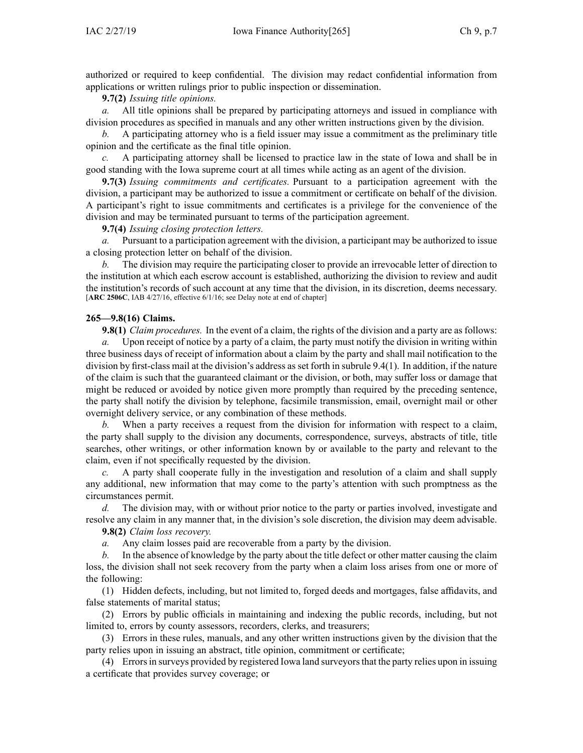authorized or required to keep confidential. The division may redact confidential information from applications or written rulings prior to public inspection or dissemination.

**9.7(2)** *Issuing title opinions.*

*a.* All title opinions shall be prepared by participating attorneys and issued in compliance with division procedures as specified in manuals and any other written instructions given by the division.

*b.* A participating attorney who is <sup>a</sup> field issuer may issue <sup>a</sup> commitment as the preliminary title opinion and the certificate as the final title opinion.

*c.* A participating attorney shall be licensed to practice law in the state of Iowa and shall be in good standing with the Iowa supreme court at all times while acting as an agen<sup>t</sup> of the division.

**9.7(3)** *Issuing commitments and certificates.* Pursuant to <sup>a</sup> participation agreemen<sup>t</sup> with the division, <sup>a</sup> participant may be authorized to issue <sup>a</sup> commitment or certificate on behalf of the division. A participant's right to issue commitments and certificates is <sup>a</sup> privilege for the convenience of the division and may be terminated pursuan<sup>t</sup> to terms of the participation agreement.

**9.7(4)** *Issuing closing protection letters.*

*a.* Pursuant to <sup>a</sup> participation agreemen<sup>t</sup> with the division, <sup>a</sup> participant may be authorized to issue <sup>a</sup> closing protection letter on behalf of the division.

*b.* The division may require the participating closer to provide an irrevocable letter of direction to the institution at which each escrow account is established, authorizing the division to review and audit the institution's records of such account at any time that the division, in its discretion, deems necessary. [**ARC [2506C](https://www.legis.iowa.gov/docs/aco/arc/2506C.pdf)**, IAB 4/27/16, effective 6/1/16; see Delay note at end of chapter]

### **265—9.8(16) Claims.**

**9.8(1)** *Claim procedures.* In the event of <sup>a</sup> claim, the rights of the division and <sup>a</sup> party are as follows: *a.* Upon receipt of notice by <sup>a</sup> party of <sup>a</sup> claim, the party must notify the division in writing within three business days of receipt of information about <sup>a</sup> claim by the party and shall mail notification to the division by first-class mail at the division's address as set forth in subrule [9.4\(1\)](https://www.legis.iowa.gov/docs/iac/rule/265.9.4.pdf). In addition, if the nature of the claim is such that the guaranteed claimant or the division, or both, may suffer loss or damage that might be reduced or avoided by notice given more promptly than required by the preceding sentence, the party shall notify the division by telephone, facsimile transmission, email, overnight mail or other overnight delivery service, or any combination of these methods.

*b.* When <sup>a</sup> party receives <sup>a</sup> reques<sup>t</sup> from the division for information with respec<sup>t</sup> to <sup>a</sup> claim, the party shall supply to the division any documents, correspondence, surveys, abstracts of title, title searches, other writings, or other information known by or available to the party and relevant to the claim, even if not specifically requested by the division.

*c.* A party shall cooperate fully in the investigation and resolution of <sup>a</sup> claim and shall supply any additional, new information that may come to the party's attention with such promptness as the circumstances permit.

*d.* The division may, with or without prior notice to the party or parties involved, investigate and resolve any claim in any manner that, in the division's sole discretion, the division may deem advisable.

**9.8(2)** *Claim loss recovery.*

*a.* Any claim losses paid are recoverable from <sup>a</sup> party by the division.

*b.* In the absence of knowledge by the party about the title defect or other matter causing the claim loss, the division shall not seek recovery from the party when <sup>a</sup> claim loss arises from one or more of the following:

(1) Hidden defects, including, but not limited to, forged deeds and mortgages, false affidavits, and false statements of marital status;

(2) Errors by public officials in maintaining and indexing the public records, including, but not limited to, errors by county assessors, recorders, clerks, and treasurers;

(3) Errors in these rules, manuals, and any other written instructions given by the division that the party relies upon in issuing an abstract, title opinion, commitment or certificate;

(4) Errorsin surveys provided by registered Iowa land surveyorsthat the party relies upon in issuing <sup>a</sup> certificate that provides survey coverage; or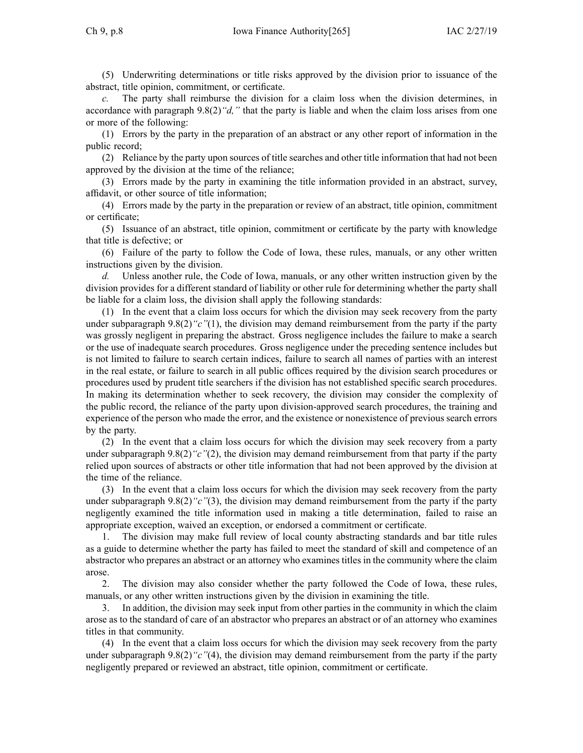(5) Underwriting determinations or title risks approved by the division prior to issuance of the abstract, title opinion, commitment, or certificate.

The party shall reimburse the division for a claim loss when the division determines, in accordance with paragraph [9.8\(2\)](https://www.legis.iowa.gov/docs/iac/rule/265.9.8.pdf)*"d,"* that the party is liable and when the claim loss arises from one or more of the following:

(1) Errors by the party in the preparation of an abstract or any other repor<sup>t</sup> of information in the public record;

(2) Reliance by the party upon sources of title searches and other title information that had not been approved by the division at the time of the reliance;

(3) Errors made by the party in examining the title information provided in an abstract, survey, affidavit, or other source of title information;

(4) Errors made by the party in the preparation or review of an abstract, title opinion, commitment or certificate;

(5) Issuance of an abstract, title opinion, commitment or certificate by the party with knowledge that title is defective; or

(6) Failure of the party to follow the Code of Iowa, these rules, manuals, or any other written instructions given by the division.

*d.* Unless another rule, the Code of Iowa, manuals, or any other written instruction given by the division provides for <sup>a</sup> different standard of liability or other rule for determining whether the party shall be liable for <sup>a</sup> claim loss, the division shall apply the following standards:

(1) In the event that <sup>a</sup> claim loss occurs for which the division may seek recovery from the party under subparagraph [9.8\(2\)](https://www.legis.iowa.gov/docs/iac/rule/265.9.8.pdf) "c"(1), the division may demand reimbursement from the party if the party was grossly negligent in preparing the abstract. Gross negligence includes the failure to make <sup>a</sup> search or the use of inadequate search procedures. Gross negligence under the preceding sentence includes but is not limited to failure to search certain indices, failure to search all names of parties with an interest in the real estate, or failure to search in all public offices required by the division search procedures or procedures used by prudent title searchers if the division has not established specific search procedures. In making its determination whether to seek recovery, the division may consider the complexity of the public record, the reliance of the party upon division-approved search procedures, the training and experience of the person who made the error, and the existence or nonexistence of previous search errors by the party.

(2) In the event that <sup>a</sup> claim loss occurs for which the division may seek recovery from <sup>a</sup> party under subparagraph [9.8\(2\)](https://www.legis.iowa.gov/docs/iac/rule/265.9.8.pdf)*"c"*(2), the division may demand reimbursement from that party if the party relied upon sources of abstracts or other title information that had not been approved by the division at the time of the reliance.

(3) In the event that <sup>a</sup> claim loss occurs for which the division may seek recovery from the party under subparagraph [9.8\(2\)](https://www.legis.iowa.gov/docs/iac/rule/265.9.8.pdf) "c"(3), the division may demand reimbursement from the party if the party negligently examined the title information used in making <sup>a</sup> title determination, failed to raise an appropriate exception, waived an exception, or endorsed <sup>a</sup> commitment or certificate.

1. The division may make full review of local county abstracting standards and bar title rules as <sup>a</sup> guide to determine whether the party has failed to meet the standard of skill and competence of an abstractor who prepares an abstract or an attorney who examines titles in the community where the claim arose.

2. The division may also consider whether the party followed the Code of Iowa, these rules, manuals, or any other written instructions given by the division in examining the title.

3. In addition, the division may seek input from other parties in the community in which the claim arose as to the standard of care of an abstractor who prepares an abstract or of an attorney who examines titles in that community.

(4) In the event that <sup>a</sup> claim loss occurs for which the division may seek recovery from the party under subparagraph [9.8\(2\)](https://www.legis.iowa.gov/docs/iac/rule/265.9.8.pdf) "c"(4), the division may demand reimbursement from the party if the party negligently prepared or reviewed an abstract, title opinion, commitment or certificate.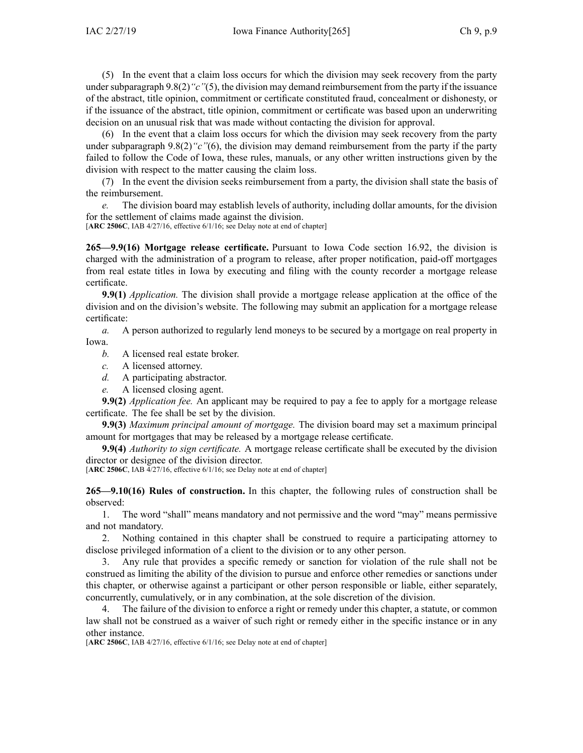(5) In the event that <sup>a</sup> claim loss occurs for which the division may seek recovery from the party under subparagraph [9.8\(2\)](https://www.legis.iowa.gov/docs/iac/rule/265.9.8.pdf) "c"(5), the division may demand reimbursement from the party if the issuance of the abstract, title opinion, commitment or certificate constituted fraud, concealment or dishonesty, or if the issuance of the abstract, title opinion, commitment or certificate was based upon an underwriting decision on an unusual risk that was made without contacting the division for approval.

(6) In the event that <sup>a</sup> claim loss occurs for which the division may seek recovery from the party under subparagraph [9.8\(2\)](https://www.legis.iowa.gov/docs/iac/rule/265.9.8.pdf) "c"(6), the division may demand reimbursement from the party if the party failed to follow the Code of Iowa, these rules, manuals, or any other written instructions given by the division with respec<sup>t</sup> to the matter causing the claim loss.

(7) In the event the division seeks reimbursement from <sup>a</sup> party, the division shall state the basis of the reimbursement.

*e.* The division board may establish levels of authority, including dollar amounts, for the division for the settlement of claims made against the division.

[**ARC [2506C](https://www.legis.iowa.gov/docs/aco/arc/2506C.pdf)**, IAB 4/27/16, effective 6/1/16; see Delay note at end of chapter]

**265—9.9(16) Mortgage release certificate.** Pursuant to Iowa Code section [16.92](https://www.legis.iowa.gov/docs/ico/section/2017/16.92.pdf), the division is charged with the administration of <sup>a</sup> program to release, after proper notification, paid-off mortgages from real estate titles in Iowa by executing and filing with the county recorder <sup>a</sup> mortgage release certificate.

**9.9(1)** *Application.* The division shall provide <sup>a</sup> mortgage release application at the office of the division and on the division's website. The following may submit an application for <sup>a</sup> mortgage release certificate:

*a.* A person authorized to regularly lend moneys to be secured by <sup>a</sup> mortgage on real property in Iowa.

- *b.* A licensed real estate broker.
- *c.* A licensed attorney.
- *d.* A participating abstractor.
- *e.* A licensed closing agent.

**9.9(2)** *Application fee.* An applicant may be required to pay <sup>a</sup> fee to apply for <sup>a</sup> mortgage release certificate. The fee shall be set by the division.

**9.9(3)** *Maximum principal amount of mortgage.* The division board may set <sup>a</sup> maximum principal amount for mortgages that may be released by <sup>a</sup> mortgage release certificate.

**9.9(4)** *Authority to sign certificate.* A mortgage release certificate shall be executed by the division director or designee of the division director.

[**ARC [2506C](https://www.legis.iowa.gov/docs/aco/arc/2506C.pdf)**, IAB 4/27/16, effective 6/1/16; see Delay note at end of chapter]

**265—9.10(16) Rules of construction.** In this chapter, the following rules of construction shall be observed:

1. The word "shall" means mandatory and not permissive and the word "may" means permissive and not mandatory.

2. Nothing contained in this chapter shall be construed to require <sup>a</sup> participating attorney to disclose privileged information of <sup>a</sup> client to the division or to any other person.

3. Any rule that provides <sup>a</sup> specific remedy or sanction for violation of the rule shall not be construed as limiting the ability of the division to pursue and enforce other remedies or sanctions under this chapter, or otherwise against <sup>a</sup> participant or other person responsible or liable, either separately, concurrently, cumulatively, or in any combination, at the sole discretion of the division.

4. The failure of the division to enforce <sup>a</sup> right or remedy under this chapter, <sup>a</sup> statute, or common law shall not be construed as <sup>a</sup> waiver of such right or remedy either in the specific instance or in any other instance.

[**ARC [2506C](https://www.legis.iowa.gov/docs/aco/arc/2506C.pdf)**, IAB 4/27/16, effective 6/1/16; see Delay note at end of chapter]